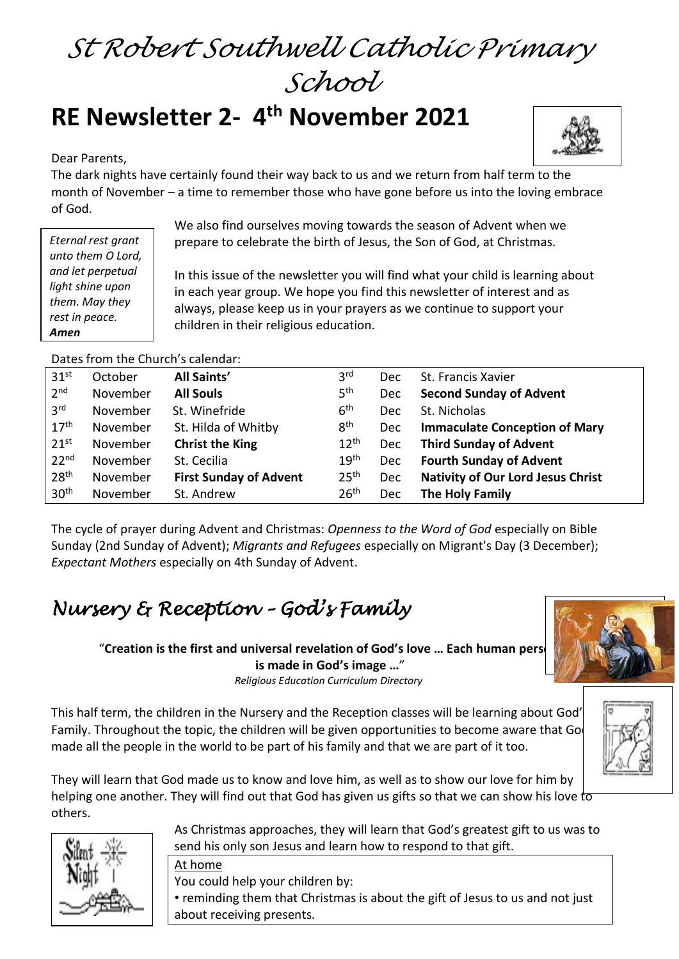# *St Robert Southwell Catholic Primary School*

# **RE Newsletter 2- 4 th November 2021**

Dear Parents,

*Eternal rest grant unto them O Lord, and let perpetual light shine upon them. May they rest in peace.* 

*Amen*



The dark nights have certainly found their way back to us and we return from half term to the month of November – a time to remember those who have gone before us into the loving embrace of God.

> We also find ourselves moving towards the season of Advent when we prepare to celebrate the birth of Jesus, the Son of God, at Christmas.

In this issue of the newsletter you will find what your child is learning about in each year group. We hope you find this newsletter of interest and as always, please keep us in your prayers as we continue to support your children in their religious education.

Dates from the Church's calendar:

| 31 <sup>st</sup> | October  | All Saints'                   | 3 <sup>rd</sup>  | <b>Dec</b> | St. Francis Xavier                       |
|------------------|----------|-------------------------------|------------------|------------|------------------------------------------|
| 2 <sup>nd</sup>  | November | <b>All Souls</b>              | 5 <sup>th</sup>  | Dec        | <b>Second Sunday of Advent</b>           |
| 3 <sup>rd</sup>  | November | St. Winefride                 | 6 <sup>th</sup>  | <b>Dec</b> | St. Nicholas                             |
| 17 <sup>th</sup> | November | St. Hilda of Whitby           | 8 <sup>th</sup>  | Dec        | <b>Immaculate Conception of Mary</b>     |
| 21 <sup>st</sup> | November | <b>Christ the King</b>        | $12^{th}$        | Dec        | <b>Third Sunday of Advent</b>            |
| 22 <sup>nd</sup> | November | St. Cecilia                   | 19 <sup>th</sup> | Dec        | <b>Fourth Sunday of Advent</b>           |
| 28 <sup>th</sup> | November | <b>First Sunday of Advent</b> | 25 <sup>th</sup> | Dec        | <b>Nativity of Our Lord Jesus Christ</b> |
| 30 <sup>th</sup> | November | St. Andrew                    | 26 <sup>th</sup> | <b>Dec</b> | The Holy Family                          |

The cycle of prayer during Advent and Christmas: *Openness to the Word of God* especially on Bible Sunday (2nd Sunday of Advent); *Migrants and Refugees* especially on Migrant's Day (3 December); *Expectant Mothers* especially on 4th Sunday of Advent.

# *Nursery & Reception – God's Family*

"Creation is the first and universal revelation of God's love ... Each human pers **is made in God's image …**"

*Religious Education Curriculum Directory*

This half term, the children in the Nursery and the Reception classes will be learning about God's Family. Throughout the topic, the children will be given opportunities to become aware that Go made all the people in the world to be part of his family and that we are part of it too.



They will learn that God made us to know and love him, as well as to show our love for him by helping one another. They will find out that God has given us gifts so that we can show his love to others.



At home You could help your children by:

• reminding them that Christmas is about the gift of Jesus to us and not just about receiving presents.

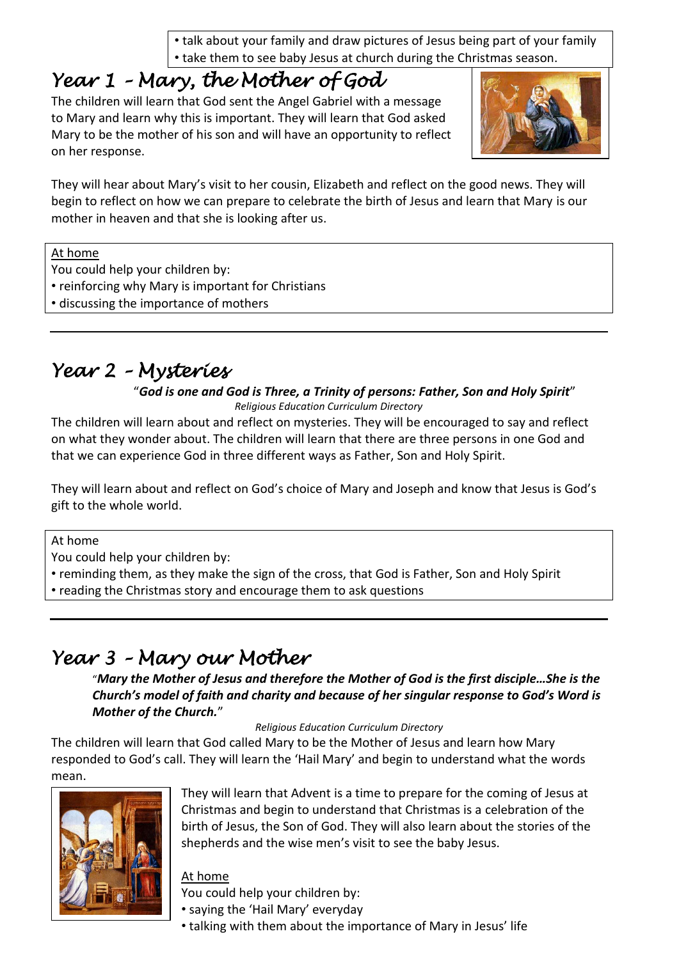• talk about your family and draw pictures of Jesus being part of your family • take them to see baby Jesus at church during the Christmas season.

# *Year 1 – Mary, the Mother of God*

The children will learn that God sent the Angel Gabriel with a message to Mary and learn why this is important. They will learn that God asked Mary to be the mother of his son and will have an opportunity to reflect on her response.



They will hear about Mary's visit to her cousin, Elizabeth and reflect on the good news. They will begin to reflect on how we can prepare to celebrate the birth of Jesus and learn that Mary is our mother in heaven and that she is looking after us.

At home

You could help your children by:

- reinforcing why Mary is important for Christians
- discussing the importance of mothers

### *Year 2 – Mysteries*

#### "*God is one and God is Three, a Trinity of persons: Father, Son and Holy Spirit*" *Religious Education Curriculum Directory*

The children will learn about and reflect on mysteries. They will be encouraged to say and reflect on what they wonder about. The children will learn that there are three persons in one God and that we can experience God in three different ways as Father, Son and Holy Spirit.

They will learn about and reflect on God's choice of Mary and Joseph and know that Jesus is God's gift to the whole world.

At home

- You could help your children by:
- reminding them, as they make the sign of the cross, that God is Father, Son and Holy Spirit
- reading the Christmas story and encourage them to ask questions

# *Year 3 – Mary our Mother*

"*Mary the Mother of Jesus and therefore the Mother of God is the first disciple…She is the Church's model of faith and charity and because of her singular response to God's Word is Mother of the Church.*"

*Religious Education Curriculum Directory*

The children will learn that God called Mary to be the Mother of Jesus and learn how Mary responded to God's call. They will learn the 'Hail Mary' and begin to understand what the words mean.



They will learn that Advent is a time to prepare for the coming of Jesus at Christmas and begin to understand that Christmas is a celebration of the birth of Jesus, the Son of God. They will also learn about the stories of the shepherds and the wise men's visit to see the baby Jesus.

#### At home

You could help your children by:

- saying the 'Hail Mary' everyday
- talking with them about the importance of Mary in Jesus' life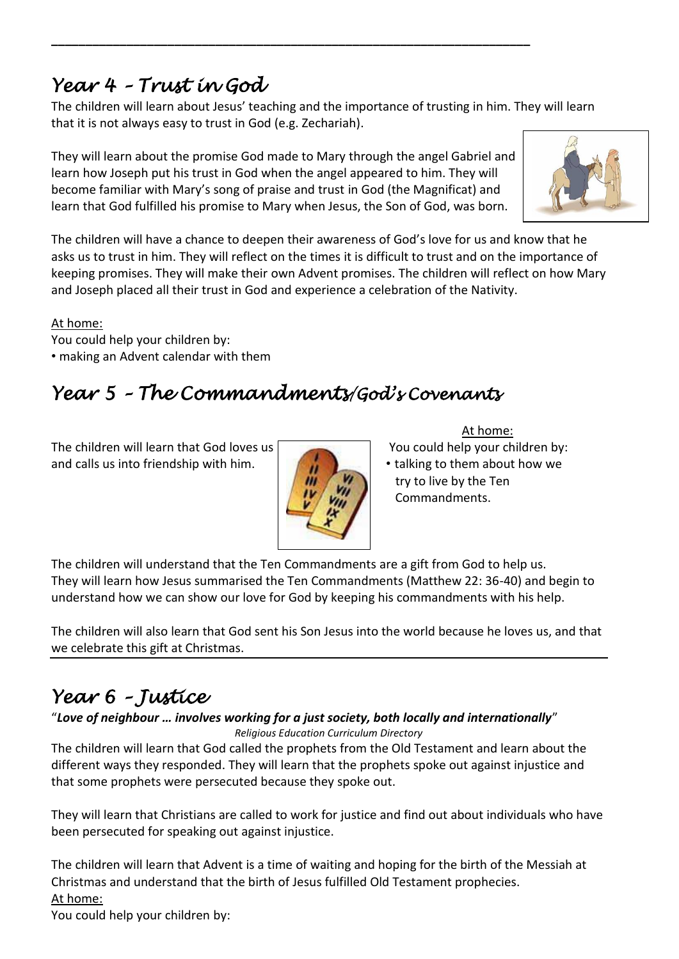### *Year 4 – Trust in God*

The children will learn about Jesus' teaching and the importance of trusting in him. They will learn that it is not always easy to trust in God (e.g. Zechariah).

They will learn about the promise God made to Mary through the angel Gabriel and learn how Joseph put his trust in God when the angel appeared to him. They will become familiar with Mary's song of praise and trust in God (the Magnificat) and learn that God fulfilled his promise to Mary when Jesus, the Son of God, was born.

**\_\_\_\_\_\_\_\_\_\_\_\_\_\_\_\_\_\_\_\_\_\_\_\_\_\_\_\_\_\_\_\_\_\_\_\_\_\_\_\_\_\_\_\_\_\_\_\_\_\_\_\_\_\_\_\_\_\_\_\_\_\_\_\_\_\_\_\_\_\_**



At home:

You could help your children by:

#### • making an Advent calendar with them

### *Year 5 – The Commandments/God's Covenants*

The children will learn that God loves us  $\Box$  You could help your children by: and calls us into friendship with him.  $\|\cdot\|$   $\|\cdot\|$  talking to them about how we



#### At home:

- 
- try to live by the Ten Commandments.

The children will understand that the Ten Commandments are a gift from God to help us. They will learn how Jesus summarised the Ten Commandments (Matthew 22: 36-40) and begin to understand how we can show our love for God by keeping his commandments with his help.

The children will also learn that God sent his Son Jesus into the world because he loves us, and that we celebrate this gift at Christmas.

# *Year 6 – Justice*

#### "*Love of neighbour … involves working for a just society, both locally and internationally*" *Religious Education Curriculum Directory*

The children will learn that God called the prophets from the Old Testament and learn about the different ways they responded. They will learn that the prophets spoke out against injustice and that some prophets were persecuted because they spoke out.

They will learn that Christians are called to work for justice and find out about individuals who have been persecuted for speaking out against injustice.

The children will learn that Advent is a time of waiting and hoping for the birth of the Messiah at Christmas and understand that the birth of Jesus fulfilled Old Testament prophecies. At home:

You could help your children by: